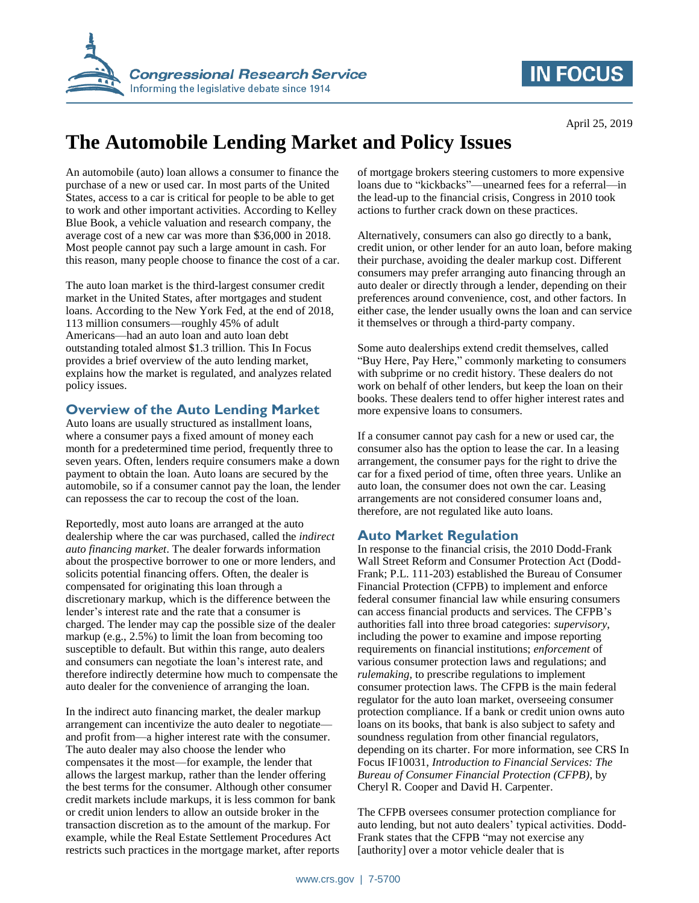

## **IN FOCUS**

# **The Automobile Lending Market and Policy Issues**

An automobile (auto) loan allows a consumer to finance the purchase of a new or used car. In most parts of the United States, access to a car is critical for people to be able to get to work and other important activities. According to Kelley Blue Book, a vehicle valuation and research company, the average cost of a new car was more than \$36,000 in 2018. Most people cannot pay such a large amount in cash. For this reason, many people choose to finance the cost of a car.

The auto loan market is the third-largest consumer credit market in the United States, after mortgages and student loans. According to the New York Fed, at the end of 2018, 113 million consumers—roughly 45% of adult Americans—had an auto loan and auto loan debt outstanding totaled almost \$1.3 trillion. This In Focus provides a brief overview of the auto lending market, explains how the market is regulated, and analyzes related policy issues.

#### **Overview of the Auto Lending Market**

Auto loans are usually structured as installment loans, where a consumer pays a fixed amount of money each month for a predetermined time period, frequently three to seven years. Often, lenders require consumers make a down payment to obtain the loan. Auto loans are secured by the automobile, so if a consumer cannot pay the loan, the lender can repossess the car to recoup the cost of the loan.

Reportedly, most auto loans are arranged at the auto dealership where the car was purchased, called the *indirect auto financing market*. The dealer forwards information about the prospective borrower to one or more lenders, and solicits potential financing offers. Often, the dealer is compensated for originating this loan through a discretionary markup, which is the difference between the lender's interest rate and the rate that a consumer is charged. The lender may cap the possible size of the dealer markup (e.g., 2.5%) to limit the loan from becoming too susceptible to default. But within this range, auto dealers and consumers can negotiate the loan's interest rate, and therefore indirectly determine how much to compensate the auto dealer for the convenience of arranging the loan.

In the indirect auto financing market, the dealer markup arrangement can incentivize the auto dealer to negotiate and profit from—a higher interest rate with the consumer. The auto dealer may also choose the lender who compensates it the most—for example, the lender that allows the largest markup, rather than the lender offering the best terms for the consumer. Although other consumer credit markets include markups, it is less common for bank or credit union lenders to allow an outside broker in the transaction discretion as to the amount of the markup. For example, while the Real Estate Settlement Procedures Act restricts such practices in the mortgage market, after reports of mortgage brokers steering customers to more expensive loans due to "kickbacks"—unearned fees for a referral—in the lead-up to the financial crisis, Congress in 2010 took actions to further crack down on these practices.

Alternatively, consumers can also go directly to a bank, credit union, or other lender for an auto loan, before making their purchase, avoiding the dealer markup cost. Different consumers may prefer arranging auto financing through an auto dealer or directly through a lender, depending on their preferences around convenience, cost, and other factors. In either case, the lender usually owns the loan and can service it themselves or through a third-party company.

Some auto dealerships extend credit themselves, called "Buy Here, Pay Here," commonly marketing to consumers with subprime or no credit history. These dealers do not work on behalf of other lenders, but keep the loan on their books. These dealers tend to offer higher interest rates and more expensive loans to consumers.

If a consumer cannot pay cash for a new or used car, the consumer also has the option to lease the car. In a leasing arrangement, the consumer pays for the right to drive the car for a fixed period of time, often three years. Unlike an auto loan, the consumer does not own the car. Leasing arrangements are not considered consumer loans and, therefore, are not regulated like auto loans.

### **Auto Market Regulation**

In response to the financial crisis, the 2010 Dodd-Frank Wall Street Reform and Consumer Protection Act (Dodd-Frank; P.L. 111-203) established the Bureau of Consumer Financial Protection (CFPB) to implement and enforce federal consumer financial law while ensuring consumers can access financial products and services. The CFPB's authorities fall into three broad categories: *supervisory*, including the power to examine and impose reporting requirements on financial institutions; *enforcement* of various consumer protection laws and regulations; and *rulemaking,* to prescribe regulations to implement consumer protection laws. The CFPB is the main federal regulator for the auto loan market, overseeing consumer protection compliance. If a bank or credit union owns auto loans on its books, that bank is also subject to safety and soundness regulation from other financial regulators, depending on its charter. For more information, see CRS In Focus IF10031, *Introduction to Financial Services: The Bureau of Consumer Financial Protection (CFPB)*, by Cheryl R. Cooper and David H. Carpenter.

The CFPB oversees consumer protection compliance for auto lending, but not auto dealers' typical activities. Dodd-Frank states that the CFPB "may not exercise any [authority] over a motor vehicle dealer that is